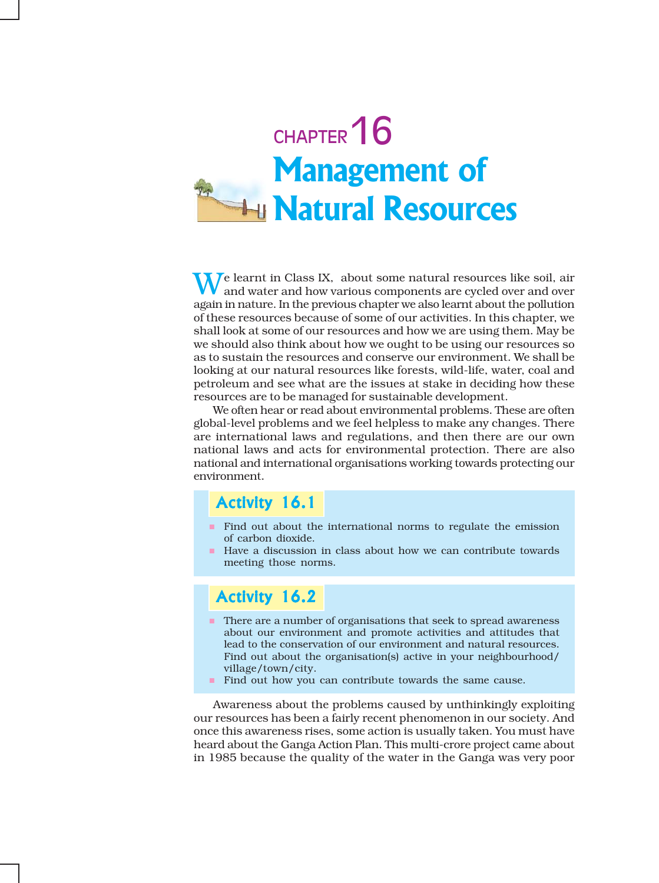

We learnt in Class IX, about some natural resources like soil, air and water and how various components are cycled over and over again in nature. In the previous chapter we also learnt about the pollution of these resources because of some of our activities. In this chapter, we shall look at some of our resources and how we are using them. May be we should also think about how we ought to be using our resources so as to sustain the resources and conserve our environment. We shall be looking at our natural resources like forests, wild-life, water, coal and petroleum and see what are the issues at stake in deciding how these resources are to be managed for sustainable development.

We often hear or read about environmental problems. These are often global-level problems and we feel helpless to make any changes. There are international laws and regulations, and then there are our own national laws and acts for environmental protection. There are also national and international organisations working towards protecting our environment.

### Activity 16.1

- **Find out about the international norms to regulate the emission** of carbon dioxide.
- **Have a discussion in class about how we can contribute towards** meeting those norms.

### Activity 16.2

- There are a number of organisations that seek to spread awareness about our environment and promote activities and attitudes that lead to the conservation of our environment and natural resources. Find out about the organisation(s) active in your neighbourhood/ village/town/city.
- Find out how you can contribute towards the same cause.

Awareness about the problems caused by unthinkingly exploiting our resources has been a fairly recent phenomenon in our society. And once this awareness rises, some action is usually taken. You must have heard about the Ganga Action Plan. This multi-crore project came about in 1985 because the quality of the water in the Ganga was very poor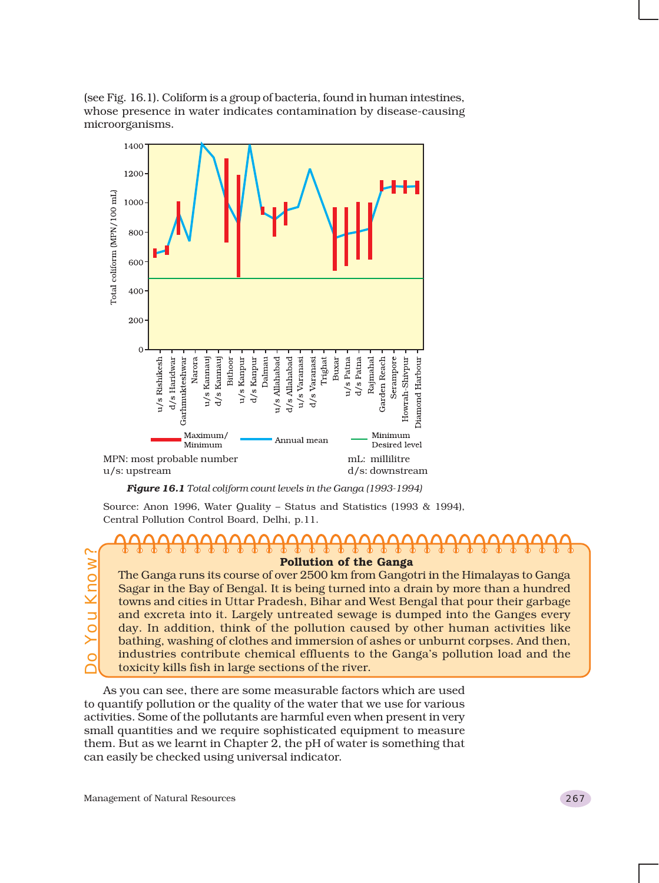(see Fig. 16.1). Coliform is a group of bacteria, found in human intestines, whose presence in water indicates contamination by disease-causing microorganisms.



*Figure 16.1 Total coliform count levels in the Ganga (1993-1994)*

Source: Anon 1996, Water Quality – Status and Statistics (1993 & 1994), Central Pollution Control Board, Delhi, p.11.

# **Pollution of the Ganga**

The Ganga runs its course of over 2500 km from Gangotri in the Himalayas to Ganga Sagar in the Bay of Bengal. It is being turned into a drain by more than a hundred towns and cities in Uttar Pradesh, Bihar and West Bengal that pour their garbage and excreta into it. Largely untreated sewage is dumped into the Ganges every day. In addition, think of the pollution caused by other human activities like bathing, washing of clothes and immersion of ashes or unburnt corpses. And then, industries contribute chemical effluents to the Ganga's pollution load and the toxicity kills fish in large sections of the river.

As you can see, there are some measurable factors which are used to quantify pollution or the quality of the water that we use for various activities. Some of the pollutants are harmful even when present in very small quantities and we require sophisticated equipment to measure them. But as we learnt in Chapter 2, the pH of water is something that can easily be checked using universal indicator.

Do You Know?

now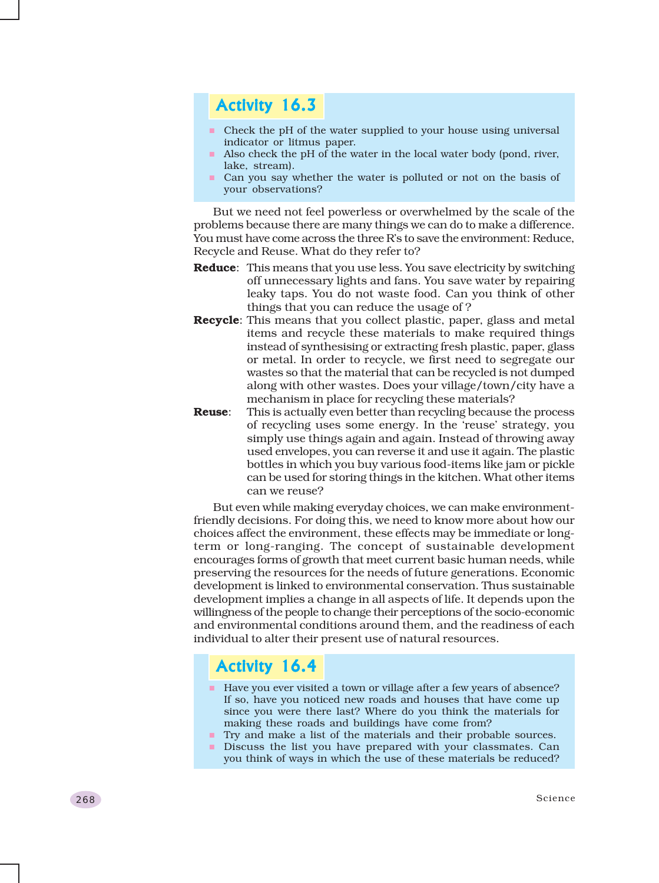### Activity 16.3

- Check the pH of the water supplied to your house using universal indicator or litmus paper.
- Also check the pH of the water in the local water body (pond, river, lake, stream).
- Can you say whether the water is polluted or not on the basis of your observations?

But we need not feel powerless or overwhelmed by the scale of the problems because there are many things we can do to make a difference. You must have come across the three R's to save the environment: Reduce, Recycle and Reuse. What do they refer to?

- **Reduce**: This means that you use less. You save electricity by switching off unnecessary lights and fans. You save water by repairing leaky taps. You do not waste food. Can you think of other things that you can reduce the usage of ?
- **Recycle**: This means that you collect plastic, paper, glass and metal items and recycle these materials to make required things instead of synthesising or extracting fresh plastic, paper, glass or metal. In order to recycle, we first need to segregate our wastes so that the material that can be recycled is not dumped along with other wastes. Does your village/town/city have a mechanism in place for recycling these materials?
- **Reuse**: This is actually even better than recycling because the process of recycling uses some energy. In the 'reuse' strategy, you simply use things again and again. Instead of throwing away used envelopes, you can reverse it and use it again. The plastic bottles in which you buy various food-items like jam or pickle can be used for storing things in the kitchen. What other items can we reuse?

But even while making everyday choices, we can make environmentfriendly decisions. For doing this, we need to know more about how our choices affect the environment, these effects may be immediate or longterm or long-ranging. The concept of sustainable development encourages forms of growth that meet current basic human needs, while preserving the resources for the needs of future generations. Economic development is linked to environmental conservation. Thus sustainable development implies a change in all aspects of life. It depends upon the willingness of the people to change their perceptions of the socio-economic and environmental conditions around them, and the readiness of each individual to alter their present use of natural resources.

### Activity 16.4

- Have you ever visited a town or village after a few years of absence? If so, have you noticed new roads and houses that have come up since you were there last? Where do you think the materials for making these roads and buildings have come from?
- **Try and make a list of the materials and their probable sources.**
- Discuss the list you have prepared with your classmates. Can you think of ways in which the use of these materials be reduced?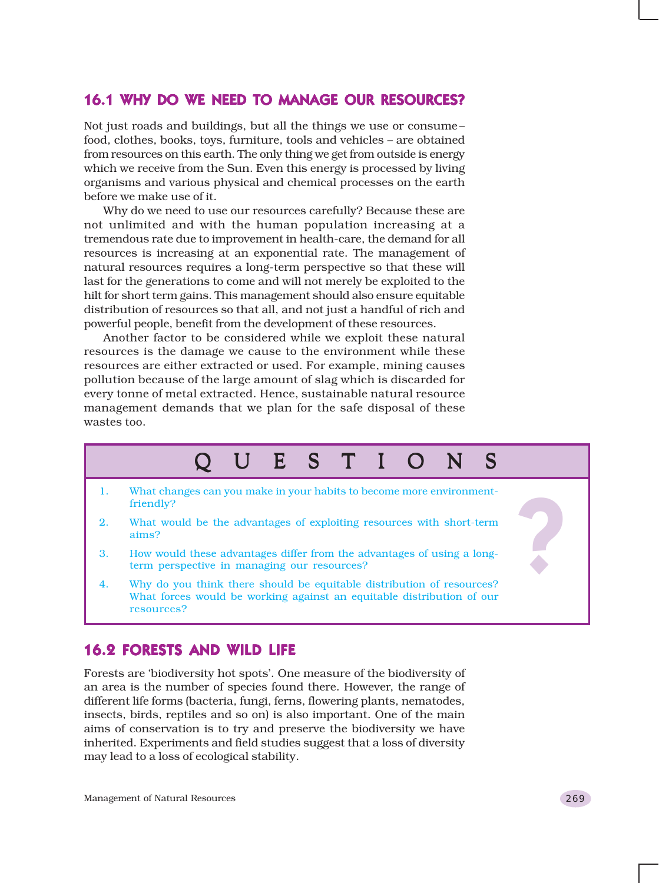#### 16.1 WHY DO WE NEED TO MANAGE OUR RESOURCES?

Not just roads and buildings, but all the things we use or consume – food, clothes, books, toys, furniture, tools and vehicles – are obtained from resources on this earth. The only thing we get from outside is energy which we receive from the Sun. Even this energy is processed by living organisms and various physical and chemical processes on the earth before we make use of it.

Why do we need to use our resources carefully? Because these are not unlimited and with the human population increasing at a tremendous rate due to improvement in health-care, the demand for all resources is increasing at an exponential rate. The management of natural resources requires a long-term perspective so that these will last for the generations to come and will not merely be exploited to the hilt for short term gains. This management should also ensure equitable distribution of resources so that all, and not just a handful of rich and powerful people, benefit from the development of these resources.

Another factor to be considered while we exploit these natural resources is the damage we cause to the environment while these resources are either extracted or used. For example, mining causes pollution because of the large amount of slag which is discarded for every tonne of metal extracted. Hence, sustainable natural resource management demands that we plan for the safe disposal of these wastes too.

#### QUESTIONS QUESTIONS ? 1. What changes can you make in your habits to become more environmentfriendly? 2. What would be the advantages of exploiting resources with short-term aims? 3. How would these advantages differ from the advantages of using a longterm perspective in managing our resources? 4. Why do you think there should be equitable distribution of resources? What forces would be working against an equitable distribution of our resources?

#### 16.2 FORESTS AND WILD LIFE

Forests are 'biodiversity hot spots'. One measure of the biodiversity of an area is the number of species found there. However, the range of different life forms (bacteria, fungi, ferns, flowering plants, nematodes, insects, birds, reptiles and so on) is also important. One of the main aims of conservation is to try and preserve the biodiversity we have inherited. Experiments and field studies suggest that a loss of diversity may lead to a loss of ecological stability.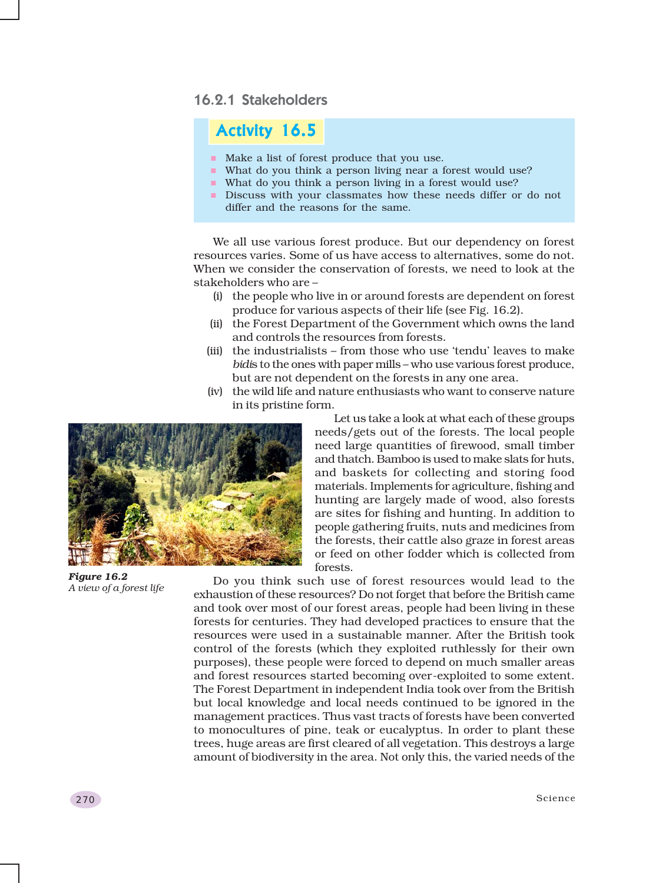#### 16.2.1 Stakeholders

### Activity 16.5

- Make a list of forest produce that you use.
- What do you think a person living near a forest would use?
- What do you think a person living in a forest would use?
- Discuss with your classmates how these needs differ or do not differ and the reasons for the same.

We all use various forest produce. But our dependency on forest resources varies. Some of us have access to alternatives, some do not. When we consider the conservation of forests, we need to look at the stakeholders who are –

- (i) the people who live in or around forests are dependent on forest produce for various aspects of their life (see Fig. 16.2).
- (ii) the Forest Department of the Government which owns the land and controls the resources from forests.
- (iii) the industrialists from those who use 'tendu' leaves to make *bidi*s to the ones with paper mills – who use various forest produce, but are not dependent on the forests in any one area.
- (iv) the wild life and nature enthusiasts who want to conserve nature in its pristine form.



*Figure 16.2 A view of a forest life*

Let us take a look at what each of these groups needs/gets out of the forests. The local people need large quantities of firewood, small timber and thatch. Bamboo is used to make slats for huts, and baskets for collecting and storing food materials. Implements for agriculture, fishing and hunting are largely made of wood, also forests are sites for fishing and hunting. In addition to people gathering fruits, nuts and medicines from the forests, their cattle also graze in forest areas or feed on other fodder which is collected from forests.

Do you think such use of forest resources would lead to the exhaustion of these resources? Do not forget that before the British came and took over most of our forest areas, people had been living in these forests for centuries. They had developed practices to ensure that the resources were used in a sustainable manner. After the British took control of the forests (which they exploited ruthlessly for their own purposes), these people were forced to depend on much smaller areas and forest resources started becoming over-exploited to some extent. The Forest Department in independent India took over from the British but local knowledge and local needs continued to be ignored in the management practices. Thus vast tracts of forests have been converted to monocultures of pine, teak or eucalyptus. In order to plant these trees, huge areas are first cleared of all vegetation. This destroys a large amount of biodiversity in the area. Not only this, the varied needs of the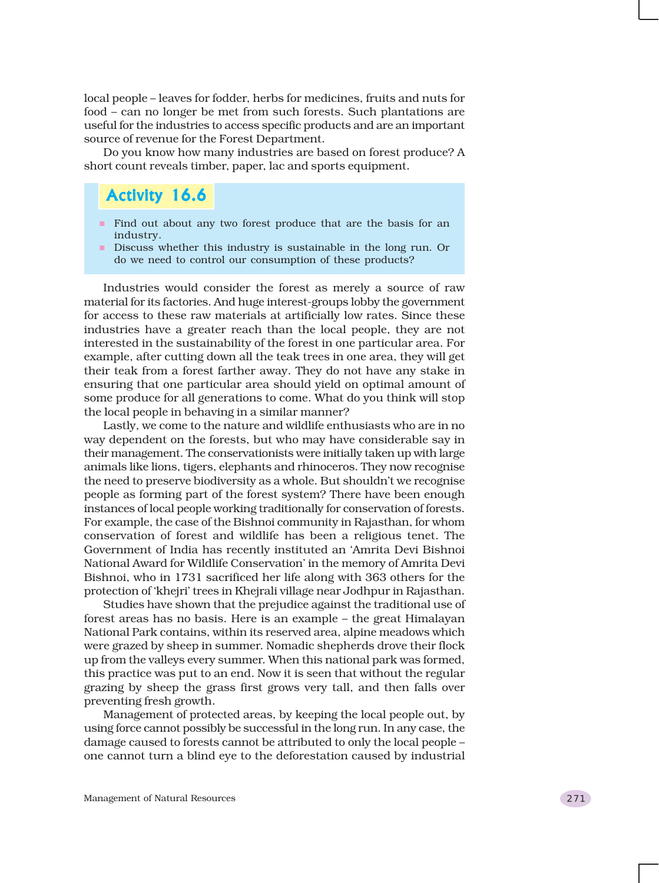local people – leaves for fodder, herbs for medicines, fruits and nuts for food – can no longer be met from such forests. Such plantations are useful for the industries to access specific products and are an important source of revenue for the Forest Department.

Do you know how many industries are based on forest produce? A short count reveals timber, paper, lac and sports equipment.

#### Activity 16.6

- **Find out about any two forest produce that are the basis for an** industry.
- Discuss whether this industry is sustainable in the long run. Or do we need to control our consumption of these products?

Industries would consider the forest as merely a source of raw material for its factories. And huge interest-groups lobby the government for access to these raw materials at artificially low rates. Since these industries have a greater reach than the local people, they are not interested in the sustainability of the forest in one particular area. For example, after cutting down all the teak trees in one area, they will get their teak from a forest farther away. They do not have any stake in ensuring that one particular area should yield on optimal amount of some produce for all generations to come. What do you think will stop the local people in behaving in a similar manner?

Lastly, we come to the nature and wildlife enthusiasts who are in no way dependent on the forests, but who may have considerable say in their management. The conservationists were initially taken up with large animals like lions, tigers, elephants and rhinoceros. They now recognise the need to preserve biodiversity as a whole. But shouldn't we recognise people as forming part of the forest system? There have been enough instances of local people working traditionally for conservation of forests. For example, the case of the Bishnoi community in Rajasthan, for whom conservation of forest and wildlife has been a religious tenet. The Government of India has recently instituted an 'Amrita Devi Bishnoi National Award for Wildlife Conservation' in the memory of Amrita Devi Bishnoi, who in 1731 sacrificed her life along with 363 others for the protection of 'khejri' trees in Khejrali village near Jodhpur in Rajasthan.

Studies have shown that the prejudice against the traditional use of forest areas has no basis. Here is an example – the great Himalayan National Park contains, within its reserved area, alpine meadows which were grazed by sheep in summer. Nomadic shepherds drove their flock up from the valleys every summer. When this national park was formed, this practice was put to an end. Now it is seen that without the regular grazing by sheep the grass first grows very tall, and then falls over preventing fresh growth.

Management of protected areas, by keeping the local people out, by using force cannot possibly be successful in the long run. In any case, the damage caused to forests cannot be attributed to only the local people – one cannot turn a blind eye to the deforestation caused by industrial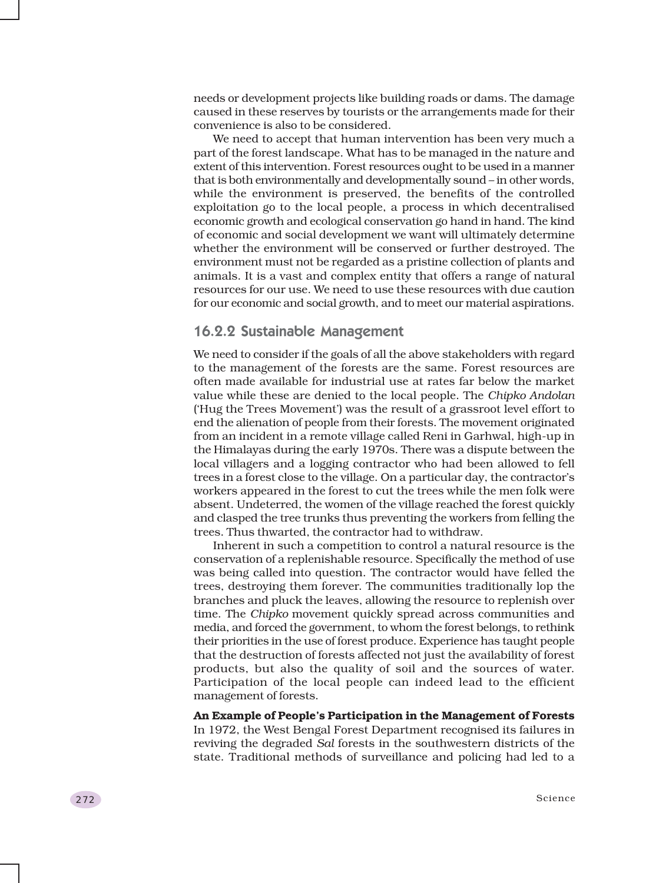needs or development projects like building roads or dams. The damage caused in these reserves by tourists or the arrangements made for their convenience is also to be considered.

We need to accept that human intervention has been very much a part of the forest landscape. What has to be managed in the nature and extent of this intervention. Forest resources ought to be used in a manner that is both environmentally and developmentally sound – in other words, while the environment is preserved, the benefits of the controlled exploitation go to the local people, a process in which decentralised economic growth and ecological conservation go hand in hand. The kind of economic and social development we want will ultimately determine whether the environment will be conserved or further destroyed. The environment must not be regarded as a pristine collection of plants and animals. It is a vast and complex entity that offers a range of natural resources for our use. We need to use these resources with due caution for our economic and social growth, and to meet our material aspirations.

#### 16.2.2 Sustainable Management

We need to consider if the goals of all the above stakeholders with regard to the management of the forests are the same. Forest resources are often made available for industrial use at rates far below the market value while these are denied to the local people. The *Chipko Andolan* ('Hug the Trees Movement') was the result of a grassroot level effort to end the alienation of people from their forests. The movement originated from an incident in a remote village called Reni in Garhwal, high-up in the Himalayas during the early 1970s. There was a dispute between the local villagers and a logging contractor who had been allowed to fell trees in a forest close to the village. On a particular day, the contractor's workers appeared in the forest to cut the trees while the men folk were absent. Undeterred, the women of the village reached the forest quickly and clasped the tree trunks thus preventing the workers from felling the trees. Thus thwarted, the contractor had to withdraw.

Inherent in such a competition to control a natural resource is the conservation of a replenishable resource. Specifically the method of use was being called into question. The contractor would have felled the trees, destroying them forever. The communities traditionally lop the branches and pluck the leaves, allowing the resource to replenish over time. The *Chipko* movement quickly spread across communities and media, and forced the government, to whom the forest belongs, to rethink their priorities in the use of forest produce. Experience has taught people that the destruction of forests affected not just the availability of forest products, but also the quality of soil and the sources of water. Participation of the local people can indeed lead to the efficient management of forests.

**An Example of People's Participation in the Management of Forests** In 1972, the West Bengal Forest Department recognised its failures in reviving the degraded *Sal* forests in the southwestern districts of the state. Traditional methods of surveillance and policing had led to a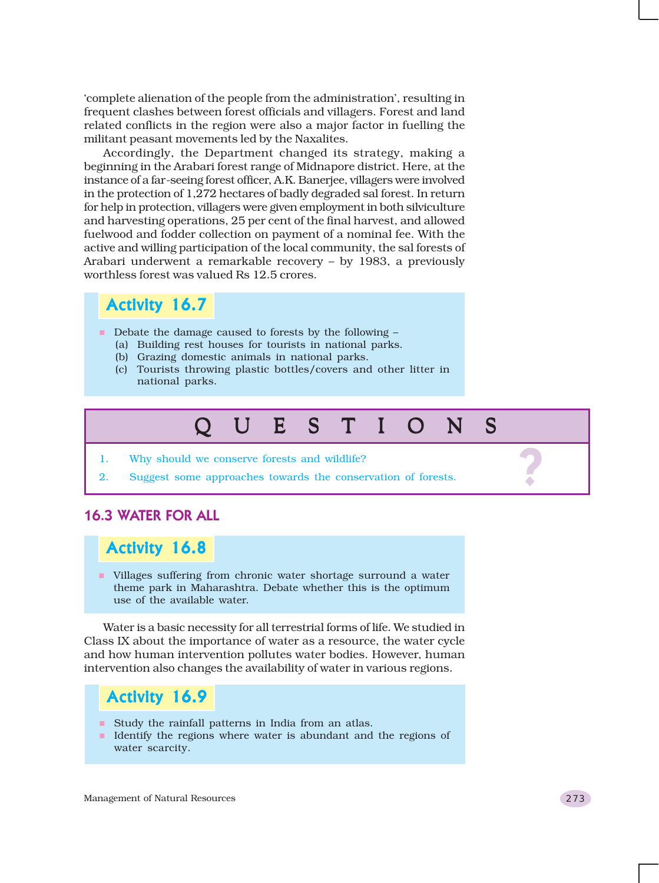'complete alienation of the people from the administration', resulting in frequent clashes between forest officials and villagers. Forest and land related conflicts in the region were also a major factor in fuelling the militant peasant movements led by the Naxalites.

Accordingly, the Department changed its strategy, making a beginning in the Arabari forest range of Midnapore district. Here, at the instance of a far-seeing forest officer, A.K. Banerjee, villagers were involved in the protection of 1,272 hectares of badly degraded sal forest. In return for help in protection, villagers were given employment in both silviculture and harvesting operations, 25 per cent of the final harvest, and allowed fuelwood and fodder collection on payment of a nominal fee. With the active and willing participation of the local community, the sal forests of Arabari underwent a remarkable recovery – by 1983, a previously worthless forest was valued Rs 12.5 crores.

### Activity 16.7

- Debate the damage caused to forests by the following
	- (a) Building rest houses for tourists in national parks.
	- (b) Grazing domestic animals in national parks.
	- (c) Tourists throwing plastic bottles/covers and other litter in national parks.

### QUESTIONS QUESTIONS

- 
- 1. Why should we conserve forests and wildlife?<br>2. Suggest some approaches towards the conservation of forests. 2. Suggest some approaches towards the conservation of forests.

#### 16.3 WATER FOR ALL

### Activity 16.8

 Villages suffering from chronic water shortage surround a water theme park in Maharashtra. Debate whether this is the optimum use of the available water.

Water is a basic necessity for all terrestrial forms of life. We studied in Class IX about the importance of water as a resource, the water cycle and how human intervention pollutes water bodies. However, human intervention also changes the availability of water in various regions.

### Activity 16.9

- Study the rainfall patterns in India from an atlas.
- I dentify the regions where water is abundant and the regions of water scarcity.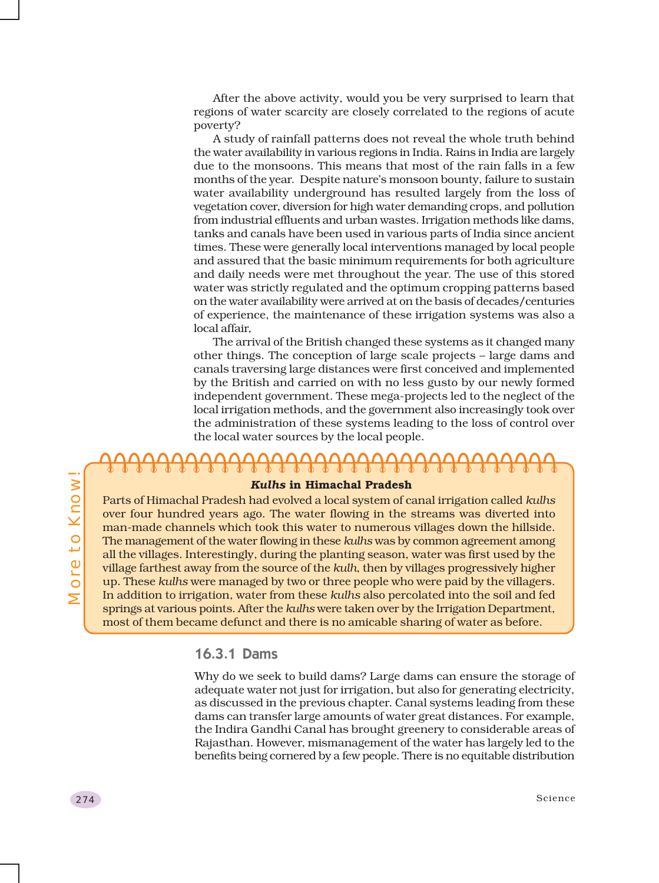After the above activity, would you be very surprised to learn that regions of water scarcity are closely correlated to the regions of acute poverty?

A study of rainfall patterns does not reveal the whole truth behind the water availability in various regions in India. Rains in India are largely due to the monsoons. This means that most of the rain falls in a few months of the year. Despite nature's monsoon bounty, failure to sustain water availability underground has resulted largely from the loss of vegetation cover, diversion for high water demanding crops, and pollution from industrial effluents and urban wastes. Irrigation methods like dams, tanks and canals have been used in various parts of India since ancient times. These were generally local interventions managed by local people and assured that the basic minimum requirements for both agriculture and daily needs were met throughout the year. The use of this stored water was strictly regulated and the optimum cropping patterns based on the water availability were arrived at on the basis of decades/centuries of experience, the maintenance of these irrigation systems was also a local affair,

The arrival of the British changed these systems as it changed many other things. The conception of large scale projects – large dams and canals traversing large distances were first conceived and implemented by the British and carried on with no less gusto by our newly formed independent government. These mega-projects led to the neglect of the local irrigation methods, and the government also increasingly took over the administration of these systems leading to the loss of control over the local water sources by the local people.

#### *Kulhs* **in Himachal Pradesh**

Parts of Himachal Pradesh had evolved a local system of canal irrigation called *kulhs* over four hundred years ago. The water flowing in the streams was diverted into man-made channels which took this water to numerous villages down the hillside. The management of the water flowing in these *kulhs* was by common agreement among all the villages. Interestingly, during the planting season, water was first used by the village farthest away from the source of the *kulh*, then by villages progressively higher up. These *kulhs* were managed by two or three people who were paid by the villagers. In addition to irrigation, water from these *kulhs* also percolated into the soil and fed springs at various points. After the *kulhs* were taken over by the Irrigation Department, most of them became defunct and there is no amicable sharing of water as before.

#### 16.3.1 Dams

Why do we seek to build dams? Large dams can ensure the storage of adequate water not just for irrigation, but also for generating electricity, as discussed in the previous chapter. Canal systems leading from these dams can transfer large amounts of water great distances. For example, the Indira Gandhi Canal has brought greenery to considerable areas of Rajasthan. However, mismanagement of the water has largely led to the benefits being cornered by a few people. There is no equitable distribution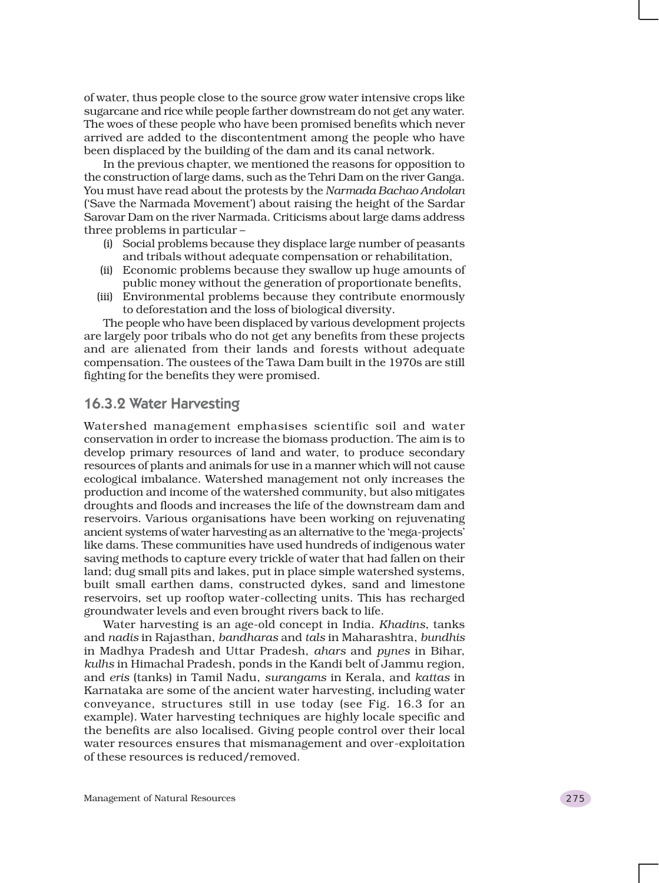of water, thus people close to the source grow water intensive crops like sugarcane and rice while people farther downstream do not get any water. The woes of these people who have been promised benefits which never arrived are added to the discontentment among the people who have been displaced by the building of the dam and its canal network.

In the previous chapter, we mentioned the reasons for opposition to the construction of large dams, such as the Tehri Dam on the river Ganga. You must have read about the protests by the *Narmada Bachao Andolan* ('Save the Narmada Movement') about raising the height of the Sardar Sarovar Dam on the river Narmada. Criticisms about large dams address three problems in particular –

- (i) Social problems because they displace large number of peasants and tribals without adequate compensation or rehabilitation,
- (ii) Economic problems because they swallow up huge amounts of public money without the generation of proportionate benefits,
- (iii) Environmental problems because they contribute enormously to deforestation and the loss of biological diversity.

The people who have been displaced by various development projects are largely poor tribals who do not get any benefits from these projects and are alienated from their lands and forests without adequate compensation. The oustees of the Tawa Dam built in the 1970s are still fighting for the benefits they were promised.

#### 16.3.2 Water Harvesting

Watershed management emphasises scientific soil and water conservation in order to increase the biomass production. The aim is to develop primary resources of land and water, to produce secondary resources of plants and animals for use in a manner which will not cause ecological imbalance. Watershed management not only increases the production and income of the watershed community, but also mitigates droughts and floods and increases the life of the downstream dam and reservoirs. Various organisations have been working on rejuvenating ancient systems of water harvesting as an alternative to the 'mega-projects' like dams. These communities have used hundreds of indigenous water saving methods to capture every trickle of water that had fallen on their land; dug small pits and lakes, put in place simple watershed systems, built small earthen dams, constructed dykes, sand and limestone reservoirs, set up rooftop water-collecting units. This has recharged groundwater levels and even brought rivers back to life.

Water harvesting is an age-old concept in India. *Khadins*, tanks and *nadis* in Rajasthan, *bandharas* and *tals* in Maharashtra, *bundhis* in Madhya Pradesh and Uttar Pradesh, *ahars* and *pynes* in Bihar, *kulhs* in Himachal Pradesh, ponds in the Kandi belt of Jammu region, and *eris* (tanks) in Tamil Nadu, *surangams* in Kerala, and *kattas* in Karnataka are some of the ancient water harvesting, including water conveyance, structures still in use today (see Fig. 16.3 for an example). Water harvesting techniques are highly locale specific and the benefits are also localised. Giving people control over their local water resources ensures that mismanagement and over-exploitation of these resources is reduced/removed.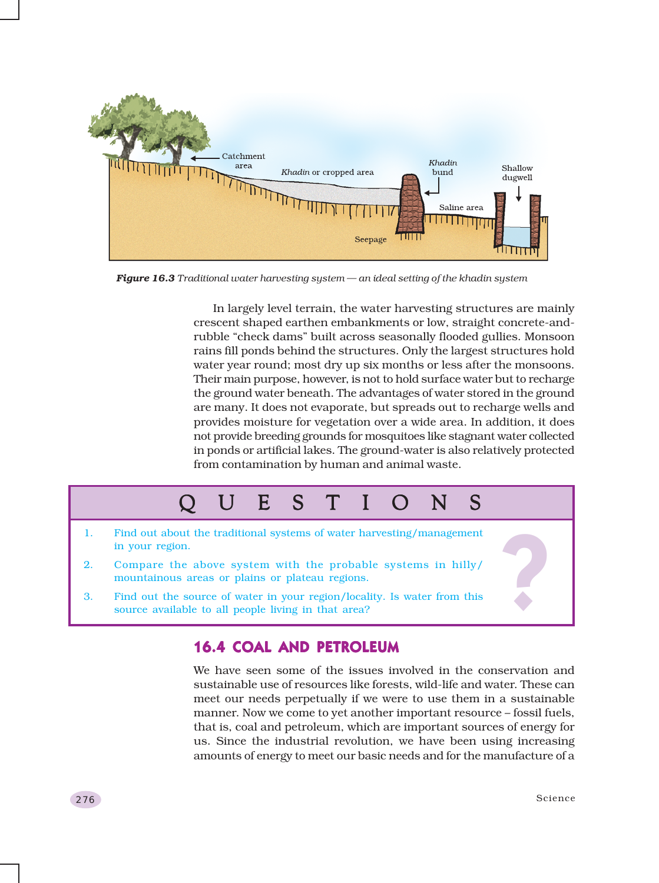

*Figure 16.3 Traditional water harvesting system — an ideal setting of the khadin system*

In largely level terrain, the water harvesting structures are mainly crescent shaped earthen embankments or low, straight concrete-andrubble "check dams" built across seasonally flooded gullies. Monsoon rains fill ponds behind the structures. Only the largest structures hold water year round; most dry up six months or less after the monsoons. Their main purpose, however, is not to hold surface water but to recharge the ground water beneath. The advantages of water stored in the ground are many. It does not evaporate, but spreads out to recharge wells and provides moisture for vegetation over a wide area. In addition, it does not provide breeding grounds for mosquitoes like stagnant water collected in ponds or artificial lakes. The ground-water is also relatively protected from contamination by human and animal waste.



#### 16.4 COAL AND PETROLEUM

We have seen some of the issues involved in the conservation and sustainable use of resources like forests, wild-life and water. These can meet our needs perpetually if we were to use them in a sustainable manner. Now we come to yet another important resource – fossil fuels, that is, coal and petroleum, which are important sources of energy for us. Since the industrial revolution, we have been using increasing amounts of energy to meet our basic needs and for the manufacture of a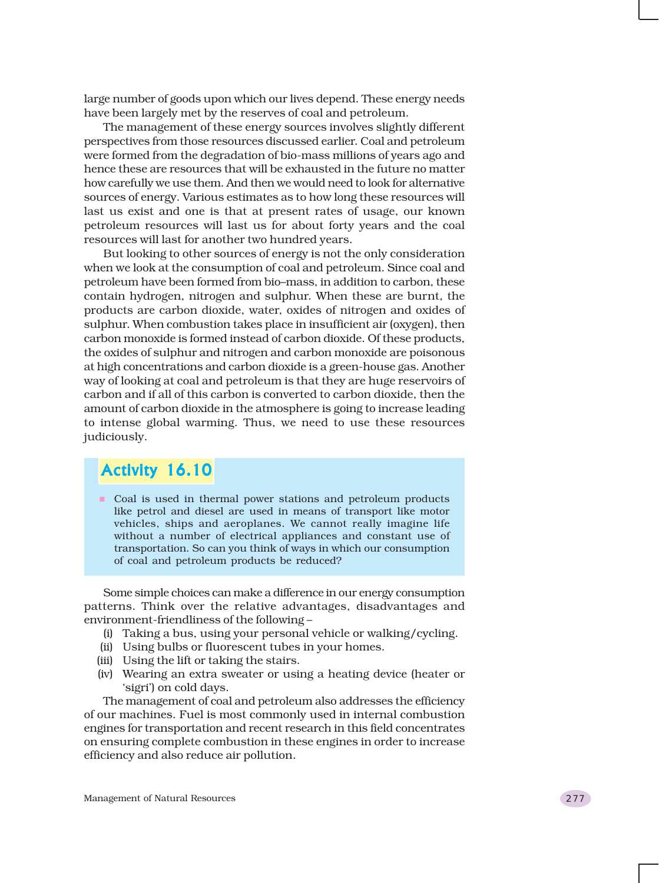large number of goods upon which our lives depend. These energy needs have been largely met by the reserves of coal and petroleum.

The management of these energy sources involves slightly different perspectives from those resources discussed earlier. Coal and petroleum were formed from the degradation of bio-mass millions of years ago and hence these are resources that will be exhausted in the future no matter how carefully we use them. And then we would need to look for alternative sources of energy. Various estimates as to how long these resources will last us exist and one is that at present rates of usage, our known petroleum resources will last us for about forty years and the coal resources will last for another two hundred years.

But looking to other sources of energy is not the only consideration when we look at the consumption of coal and petroleum. Since coal and petroleum have been formed from bio–mass, in addition to carbon, these contain hydrogen, nitrogen and sulphur. When these are burnt, the products are carbon dioxide, water, oxides of nitrogen and oxides of sulphur. When combustion takes place in insufficient air (oxygen), then carbon monoxide is formed instead of carbon dioxide. Of these products, the oxides of sulphur and nitrogen and carbon monoxide are poisonous at high concentrations and carbon dioxide is a green-house gas. Another way of looking at coal and petroleum is that they are huge reservoirs of carbon and if all of this carbon is converted to carbon dioxide, then the amount of carbon dioxide in the atmosphere is going to increase leading to intense global warming. Thus, we need to use these resources judiciously.

### Activity 16.10

Coal is used in thermal power stations and petroleum products like petrol and diesel are used in means of transport like motor vehicles, ships and aeroplanes. We cannot really imagine life without a number of electrical appliances and constant use of transportation. So can you think of ways in which our consumption of coal and petroleum products be reduced?

Some simple choices can make a difference in our energy consumption patterns. Think over the relative advantages, disadvantages and environment-friendliness of the following –

- (i) Taking a bus, using your personal vehicle or walking/cycling.
- (ii) Using bulbs or fluorescent tubes in your homes.
- (iii) Using the lift or taking the stairs.
- (iv) Wearing an extra sweater or using a heating device (heater or 'sigri') on cold days.

The management of coal and petroleum also addresses the efficiency of our machines. Fuel is most commonly used in internal combustion engines for transportation and recent research in this field concentrates on ensuring complete combustion in these engines in order to increase efficiency and also reduce air pollution.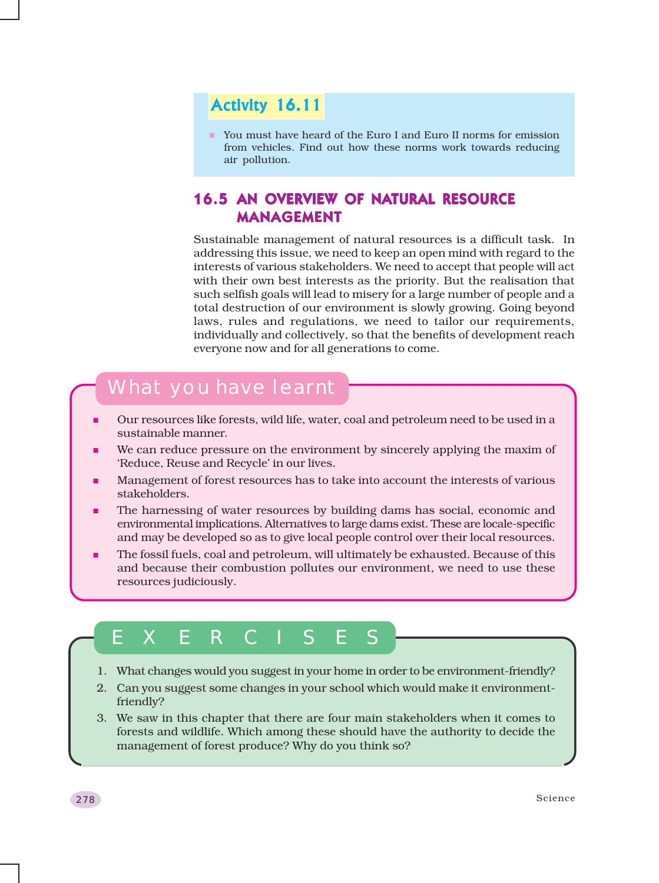### Activity 16.11

 You must have heard of the Euro I and Euro II norms for emission from vehicles. Find out how these norms work towards reducing air pollution.

### 16.5 AN OVERVIEW OF NATURAL RESOURCE MANAGEMENT

Sustainable management of natural resources is a difficult task. In addressing this issue, we need to keep an open mind with regard to the interests of various stakeholders. We need to accept that people will act with their own best interests as the priority. But the realisation that such selfish goals will lead to misery for a large number of people and a total destruction of our environment is slowly growing. Going beyond laws, rules and regulations, we need to tailor our requirements, individually and collectively, so that the benefits of development reach everyone now and for all generations to come.

### What you have learnt

- Our resources like forests, wild life, water, coal and petroleum need to be used in a sustainable manner.
- We can reduce pressure on the environment by sincerely applying the maxim of 'Reduce, Reuse and Recycle' in our lives.
- Management of forest resources has to take into account the interests of various stakeholders.
- The harnessing of water resources by building dams has social, economic and environmental implications. Alternatives to large dams exist. These are locale-specific and may be developed so as to give local people control over their local resources.
- The fossil fuels, coal and petroleum, will ultimately be exhausted. Because of this and because their combustion pollutes our environment, we need to use these resources judiciously.

## EXERCISES

- 1. What changes would you suggest in your home in order to be environment-friendly?
- 2. Can you suggest some changes in your school which would make it environmentfriendly?
- 3. We saw in this chapter that there are four main stakeholders when it comes to forests and wildlife. Which among these should have the authority to decide the management of forest produce? Why do you think so?